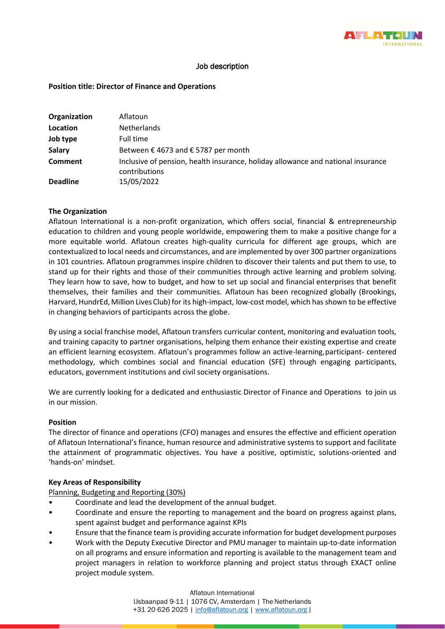

# Job description

## **Position title: Director of Finance and Operations**

| Organization    | Aflatoun                                                                                          |
|-----------------|---------------------------------------------------------------------------------------------------|
| Location        | <b>Netherlands</b>                                                                                |
| Job type        | Full time                                                                                         |
| <b>Salary</b>   | Between €4673 and €5787 per month                                                                 |
| <b>Comment</b>  | Inclusive of pension, health insurance, holiday allowance and national insurance<br>contributions |
| <b>Deadline</b> | 15/05/2022                                                                                        |

### **The Organization**

Aflatoun International is a non-profit organization, which offers social, financial & entrepreneurship education to children and young people worldwide, empowering them to make a positive change for a more equitable world. Aflatoun creates high-quality curricula for different age groups, which are contextualized to local needs and circumstances, and are implemented by over 300 partner organizations in 101 countries. Aflatoun programmes inspire children to discover their talents and put them to use, to stand up for their rights and those of their communities through active learning and problem solving. They learn how to save, how to budget, and how to set up social and financial enterprises that benefit themselves, their families and their communities. Aflatoun has been recognized globally (Brookings, Harvard,HundrEd,Million Lives Club) for its high-impact, low-cost model, which has shown to be effective in changing behaviors of participants across the globe.

By using a social franchise model, Aflatoun transfers curricular content, monitoring and evaluation tools, and training capacity to partner organisations, helping them enhance their existing expertise and create an efficient learning ecosystem. Aflatoun's programmes follow an active-learning,participant- centered methodology, which combines social and financial education (SFE) through engaging participants, educators, government institutions and civil society organisations.

We are currently looking for a dedicated and enthusiastic Director of Finance and Operations to join us in our mission.

### **Position**

The director of finance and operations (CFO) manages and ensures the effective and efficient operation of Aflatoun International's finance, human resource and administrative systems to support and facilitate the attainment of programmatic objectives. You have a positive, optimistic, solutions-oriented and 'hands-on' mindset.

### **Key Areas of Responsibility**

Planning, Budgeting and Reporting (30%)

- Coordinate and lead the development of the annual budget.
- Coordinate and ensure the reporting to management and the board on progress against plans, spent against budget and performance against KPIs
- Ensure that the finance team is providing accurate information for budget development purposes
- Work with the Deputy Executive Director and PMU manager to maintain up-to-date information on all programs and ensure information and reporting is available to the management team and project managers in relation to workforce planning and project status through EXACT online project module system.

Aflatoun International IJsbaanpad 9-11 | 1076 CV, Amsterdam | The Netherlands +31 20 626 2025 | [info@aflatoun.org](mailto:info@aflatoun.org) [| www.aflatoun.org](http://www.aflatoun.org/) |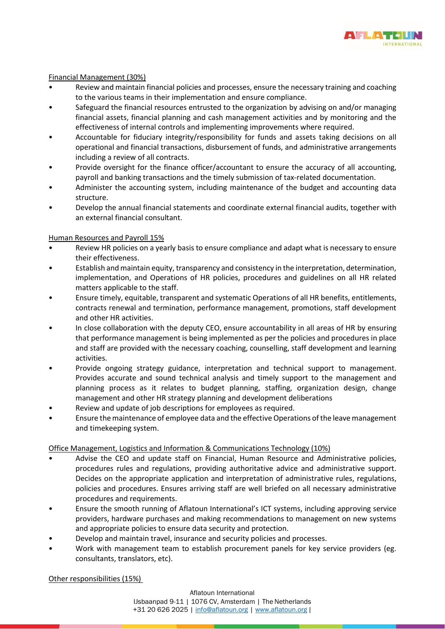

## Financial Management (30%)

- Review and maintain financial policies and processes, ensure the necessary training and coaching to the various teams in their implementation and ensure compliance.
- Safeguard the financial resources entrusted to the organization by advising on and/or managing financial assets, financial planning and cash management activities and by monitoring and the effectiveness of internal controls and implementing improvements where required.
- Accountable for fiduciary integrity/responsibility for funds and assets taking decisions on all operational and financial transactions, disbursement of funds, and administrative arrangements including a review of all contracts.
- Provide oversight for the finance officer/accountant to ensure the accuracy of all accounting, payroll and banking transactions and the timely submission of tax-related documentation.
- Administer the accounting system, including maintenance of the budget and accounting data structure.
- Develop the annual financial statements and coordinate external financial audits, together with an external financial consultant.

### Human Resources and Payroll 15%

- Review HR policies on a yearly basis to ensure compliance and adapt what is necessary to ensure their effectiveness.
- Establish and maintain equity, transparency and consistency in the interpretation, determination, implementation, and Operations of HR policies, procedures and guidelines on all HR related matters applicable to the staff.
- Ensure timely, equitable, transparent and systematic Operations of all HR benefits, entitlements, contracts renewal and termination, performance management, promotions, staff development and other HR activities.
- In close collaboration with the deputy CEO, ensure accountability in all areas of HR by ensuring that performance management is being implemented as per the policies and procedures in place and staff are provided with the necessary coaching, counselling, staff development and learning activities.
- Provide ongoing strategy guidance, interpretation and technical support to management. Provides accurate and sound technical analysis and timely support to the management and planning process as it relates to budget planning, staffing, organization design, change management and other HR strategy planning and development deliberations
- Review and update of job descriptions for employees as required.
- Ensure the maintenance of employee data and the effective Operations of the leave management and timekeeping system.

# Office Management, Logistics and Information & Communications Technology (10%)

- Advise the CEO and update staff on Financial, Human Resource and Administrative policies, procedures rules and regulations, providing authoritative advice and administrative support. Decides on the appropriate application and interpretation of administrative rules, regulations, policies and procedures. Ensures arriving staff are well briefed on all necessary administrative procedures and requirements.
- Ensure the smooth running of Aflatoun International's ICT systems, including approving service providers, hardware purchases and making recommendations to management on new systems and appropriate policies to ensure data security and protection.
- Develop and maintain travel, insurance and security policies and processes.
- Work with management team to establish procurement panels for key service providers (eg. consultants, translators, etc).

### Other responsibilities (15%)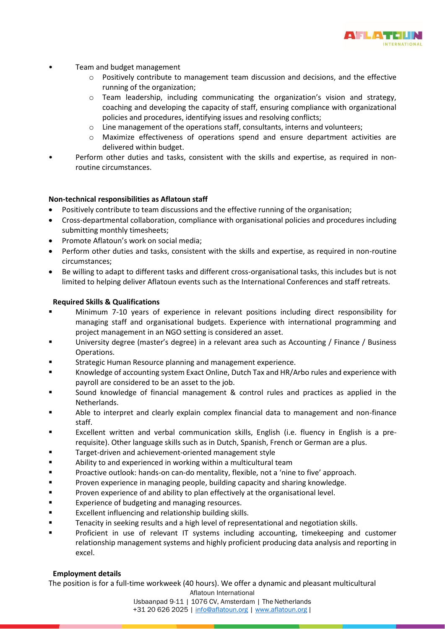

- Team and budget management
	- $\circ$  Positively contribute to management team discussion and decisions, and the effective running of the organization;
	- $\circ$  Team leadership, including communicating the organization's vision and strategy, coaching and developing the capacity of staff, ensuring compliance with organizational policies and procedures, identifying issues and resolving conflicts;
	- $\circ$  Line management of the operations staff, consultants, interns and volunteers;
	- o Maximize effectiveness of operations spend and ensure department activities are delivered within budget.
- Perform other duties and tasks, consistent with the skills and expertise, as required in nonroutine circumstances.

# **Non-technical responsibilities as Aflatoun staff**

- Positively contribute to team discussions and the effective running of the organisation;
- Cross-departmental collaboration, compliance with organisational policies and procedures including submitting monthly timesheets;
- Promote Aflatoun's work on social media;
- Perform other duties and tasks, consistent with the skills and expertise, as required in non-routine circumstances;
- Be willing to adapt to different tasks and different cross-organisational tasks, this includes but is not limited to helping deliver Aflatoun events such as the International Conferences and staff retreats.

### **Required Skills & Qualifications**

- Minimum 7-10 years of experience in relevant positions including direct responsibility for managing staff and organisational budgets. Experience with international programming and project management in an NGO setting is considered an asset.
- University degree (master's degree) in a relevant area such as Accounting / Finance / Business Operations.
- Strategic Human Resource planning and management experience.
- Knowledge of accounting system Exact Online, Dutch Tax and HR/Arbo rules and experience with payroll are considered to be an asset to the job.
- Sound knowledge of financial management & control rules and practices as applied in the Netherlands.
- Able to interpret and clearly explain complex financial data to management and non-finance staff.
- Excellent written and verbal communication skills, English (i.e. fluency in English is a prerequisite). Other language skills such as in Dutch, Spanish, French or German are a plus.
- Target-driven and achievement-oriented management style
- Ability to and experienced in working within a multicultural team
- Proactive outlook: hands-on can-do mentality, flexible, not a 'nine to five' approach.
- Proven experience in managing people, building capacity and sharing knowledge.
- Proven experience of and ability to plan effectively at the organisational level.
- Experience of budgeting and managing resources.
- Excellent influencing and relationship building skills.
- Tenacity in seeking results and a high level of representational and negotiation skills.
- Proficient in use of relevant IT systems including accounting, timekeeping and customer relationship management systems and highly proficient producing data analysis and reporting in excel.

### **Employment details**

Aflatoun International The position is for a full-time workweek (40 hours). We offer a dynamic and pleasant multicultural

IJsbaanpad 9-11 | 1076 CV, Amsterdam | The Netherlands +31 20 626 2025 | [info@aflatoun.org](mailto:info@aflatoun.org) [| www.aflatoun.org](http://www.aflatoun.org/) |